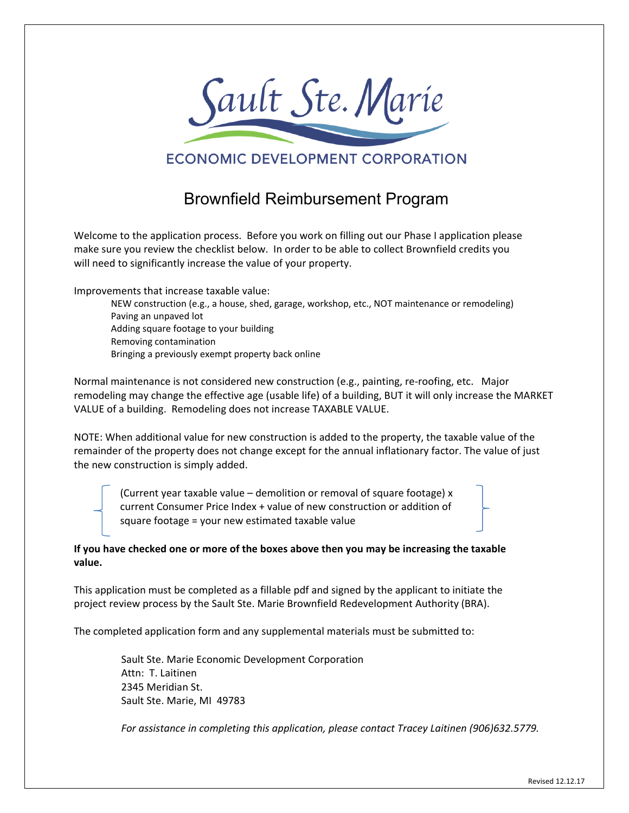

## **ECONOMIC DEVELOPMENT CORPORATION**

## Brownfield Reimbursement Program

Welcome to the application process. Before you work on filling out our Phase I application please make sure you review the checklist below. In order to be able to collect Brownfield credits you will need to significantly increase the value of your property.

Improvements that increase taxable value:

 NEW construction (e.g., a house, shed, garage, workshop, etc., NOT maintenance or remodeling) Paving an unpaved lot Adding square footage to your building Removing contamination Bringing a previously exempt property back online

Normal maintenance is not considered new construction (e.g., painting, re‐roofing, etc. Major remodeling may change the effective age (usable life) of a building, BUT it will only increase the MARKET VALUE of a building. Remodeling does not increase TAXABLE VALUE.

NOTE: When additional value for new construction is added to the property, the taxable value of the remainder of the property does not change except for the annual inflationary factor. The value of just the new construction is simply added.

(Current year taxable value – demolition or removal of square footage) x current Consumer Price Index + value of new construction or addition of square footage = your new estimated taxable value

**If you have checked one or more of the boxes above then you may be increasing the taxable value.** 

This application must be completed as a fillable pdf and signed by the applicant to initiate the project review process by the Sault Ste. Marie Brownfield Redevelopment Authority (BRA).

The completed application form and any supplemental materials must be submitted to:

Sault Ste. Marie Economic Development Corporation Attn: T. Laitinen 2345 Meridian St. Sault Ste. Marie, MI 49783

*For assistance in completing this application, please contact Tracey Laitinen (906)632.5779.*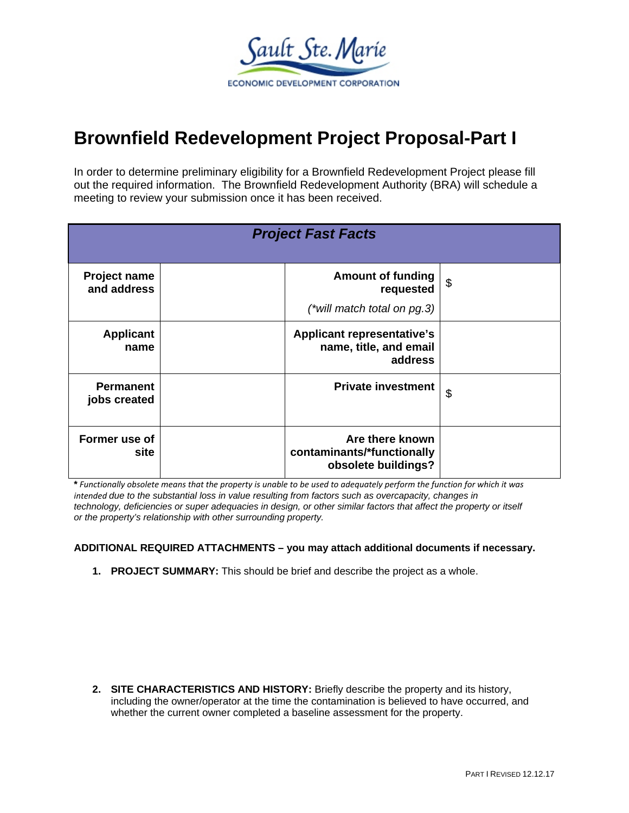

## **Brownfield Redevelopment Project Proposal-Part I**

In order to determine preliminary eligibility for a Brownfield Redevelopment Project please fill out the required information. The Brownfield Redevelopment Authority (BRA) will schedule a meeting to review your submission once it has been received.

| <b>Project Fast Facts</b>        |  |                                                                         |    |  |
|----------------------------------|--|-------------------------------------------------------------------------|----|--|
| Project name<br>and address      |  | <b>Amount of funding</b><br>requested<br>(*will match total on $pg.3$ ) | \$ |  |
| <b>Applicant</b><br>name         |  | <b>Applicant representative's</b><br>name, title, and email<br>address  |    |  |
| <b>Permanent</b><br>jobs created |  | <b>Private investment</b>                                               | \$ |  |
| Former use of<br>site            |  | Are there known<br>contaminants/*functionally<br>obsolete buildings?    |    |  |

\* Functionally obsolete means that the property is unable to be used to adequately perform the function for which it was *intended due to the substantial loss in value resulting from factors such as overcapacity, changes in technology, deficiencies or super adequacies in design, or other similar factors that affect the property or itself or the property's relationship with other surrounding property.*

**ADDITIONAL REQUIRED ATTACHMENTS – you may attach additional documents if necessary.** 

**1. PROJECT SUMMARY:** This should be brief and describe the project as a whole.

**2. SITE CHARACTERISTICS AND HISTORY:** Briefly describe the property and its history, including the owner/operator at the time the contamination is believed to have occurred, and whether the current owner completed a baseline assessment for the property.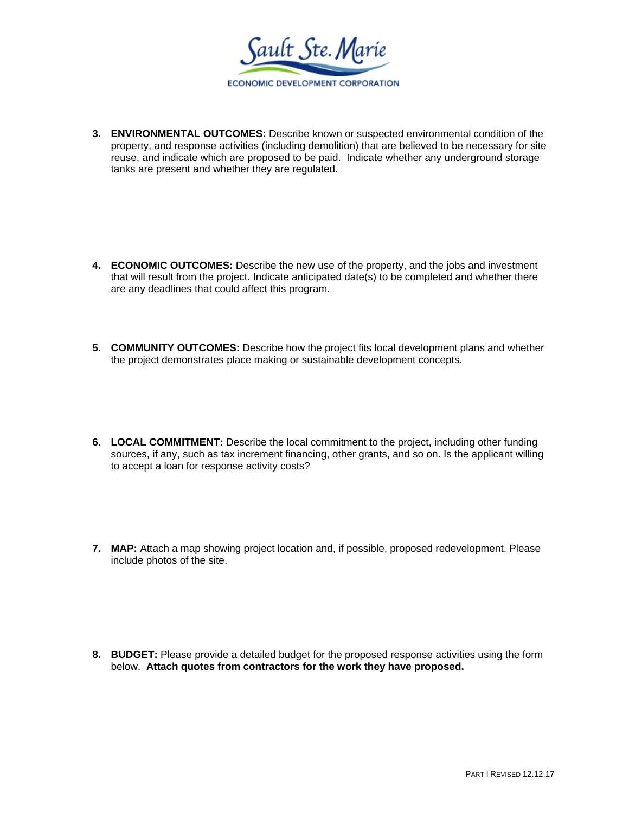Sault Ste. Marie ECONOMIC DEVELOPMENT CORPORATION

**3. ENVIRONMENTAL OUTCOMES:** Describe known or suspected environmental condition of the property, and response activities (including demolition) that are believed to be necessary for site reuse, and indicate which are proposed to be paid. Indicate whether any underground storage tanks are present and whether they are regulated.

- **4. ECONOMIC OUTCOMES:** Describe the new use of the property, and the jobs and investment that will result from the project. Indicate anticipated date(s) to be completed and whether there are any deadlines that could affect this program.
- **5. COMMUNITY OUTCOMES:** Describe how the project fits local development plans and whether the project demonstrates place making or sustainable development concepts.
- **6. LOCAL COMMITMENT:** Describe the local commitment to the project, including other funding sources, if any, such as tax increment financing, other grants, and so on. Is the applicant willing to accept a loan for response activity costs?
- **7. MAP:** Attach a map showing project location and, if possible, proposed redevelopment. Please include photos of the site.

**8. BUDGET:** Please provide a detailed budget for the proposed response activities using the form below. **Attach quotes from contractors for the work they have proposed.**